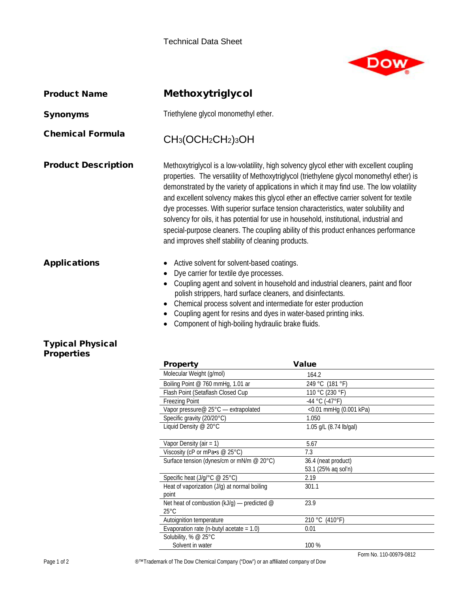

 $\overline{\phantom{a}}$ 

| <b>Product Name</b>                          | <b>Methoxytriglycol</b>                                                                                                                                                                                                                                                                                                                                                                                                                                                                                                                                                                                                                                                                                   |                                                           |  |
|----------------------------------------------|-----------------------------------------------------------------------------------------------------------------------------------------------------------------------------------------------------------------------------------------------------------------------------------------------------------------------------------------------------------------------------------------------------------------------------------------------------------------------------------------------------------------------------------------------------------------------------------------------------------------------------------------------------------------------------------------------------------|-----------------------------------------------------------|--|
| <b>Synonyms</b>                              | Triethylene glycol monomethyl ether.                                                                                                                                                                                                                                                                                                                                                                                                                                                                                                                                                                                                                                                                      |                                                           |  |
| <b>Chemical Formula</b>                      | CH <sub>3</sub> (OCH <sub>2</sub> CH <sub>2</sub> ) <sub>3</sub> OH                                                                                                                                                                                                                                                                                                                                                                                                                                                                                                                                                                                                                                       |                                                           |  |
| <b>Product Description</b>                   | Methoxytriglycol is a low-volatility, high solvency glycol ether with excellent coupling<br>properties. The versatility of Methoxytriglycol (triethylene glycol monomethyl ether) is<br>demonstrated by the variety of applications in which it may find use. The low volatility<br>and excellent solvency makes this glycol ether an effective carrier solvent for textile<br>dye processes. With superior surface tension characteristics, water solubility and<br>solvency for oils, it has potential for use in household, institutional, industrial and<br>special-purpose cleaners. The coupling ability of this product enhances performance<br>and improves shelf stability of cleaning products. |                                                           |  |
| <b>Applications</b>                          | Active solvent for solvent-based coatings.<br>Dye carrier for textile dye processes.<br>Coupling agent and solvent in household and industrial cleaners, paint and floor<br>polish strippers, hard surface cleaners, and disinfectants.<br>Chemical process solvent and intermediate for ester production<br>Coupling agent for resins and dyes in water-based printing inks.<br>$\bullet$<br>Component of high-boiling hydraulic brake fluids.                                                                                                                                                                                                                                                           |                                                           |  |
| <b>Typical Physical</b><br><b>Properties</b> | <b>Property</b><br>Molecular Weight (g/mol)                                                                                                                                                                                                                                                                                                                                                                                                                                                                                                                                                                                                                                                               | <b>Value</b>                                              |  |
|                                              | Boiling Point @ 760 mmHg, 1.01 ar                                                                                                                                                                                                                                                                                                                                                                                                                                                                                                                                                                                                                                                                         | 164.2<br>249 °C (181 °F)                                  |  |
|                                              | Floch Doint (Cotafloch Closed Cup                                                                                                                                                                                                                                                                                                                                                                                                                                                                                                                                                                                                                                                                         | 110 $\circ$ $\cap$ $\circ$ $\circ$ $\circ$ $\cap$ $\circ$ |  |

| Molecular Weight (g/mol)                         | 164.2                     |
|--------------------------------------------------|---------------------------|
| Boiling Point @ 760 mmHg, 1.01 ar                | 249 °C (181 °F)           |
| Flash Point (Setaflash Closed Cup                | 110 °C (230 °F)           |
| <b>Freezing Point</b>                            | $-44$ °C ( $-47$ °F)      |
| Vapor pressure@ 25°C — extrapolated              | $<$ 0.01 mmHg (0.001 kPa) |
| Specific gravity (20/20°C)                       | 1.050                     |
| Liquid Density @ 20°C                            | 1.05 g/L (8.74 lb/gal)    |
|                                                  |                           |
| Vapor Density (air = $1$ )                       | 5.67                      |
| Viscosity (cP or mPa $\cdot$ s @ 25 $\degree$ C) | 7.3                       |
| Surface tension (dynes/cm or mN/m @ 20°C)        | 36.4 (neat product)       |
|                                                  | 53.1 (25% ag sol'n)       |
| Specific heat (J/g/°C @ 25°C)                    | 2.19                      |
| Heat of vaporization (J/g) at normal boiling     | 301.1                     |
| point                                            |                           |
| Net heat of combustion ( $kJ/g$ ) — predicted @  | 23.9                      |
| $25^{\circ}$ C                                   |                           |
| Autoignition temperature                         | 210 °C (410 °F)           |
| Evaporation rate (n-butyl acetate $= 1.0$ )      | 0.01                      |
| Solubility, % @ 25°C                             |                           |
| Solvent in water                                 | 100 %                     |
|                                                  | Form No. 110-00979-0812   |